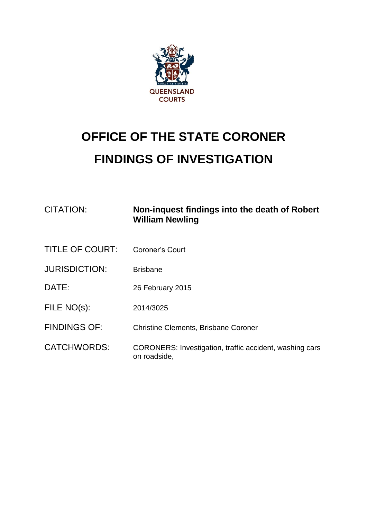

## **OFFICE OF THE STATE CORONER FINDINGS OF INVESTIGATION**

| <b>CITATION:</b>       | Non-inquest findings into the death of Robert<br><b>William Newling</b> |
|------------------------|-------------------------------------------------------------------------|
| <b>TITLE OF COURT:</b> | Coroner's Court                                                         |
| <b>JURISDICTION:</b>   | <b>Brisbane</b>                                                         |
| DATE:                  | 26 February 2015                                                        |
| FILE NO(s):            | 2014/3025                                                               |
| <b>FINDINGS OF:</b>    | <b>Christine Clements, Brisbane Coroner</b>                             |
| <b>CATCHWORDS:</b>     | CORONERS: Investigation, traffic accident, washing cars<br>on roadside, |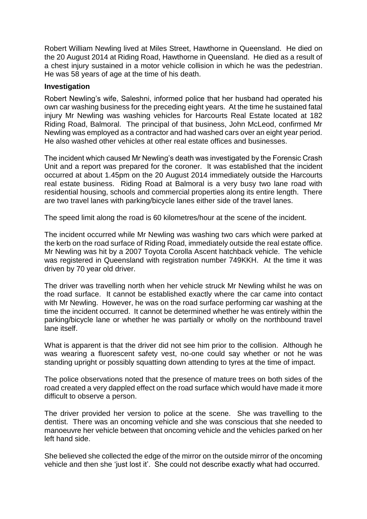Robert William Newling lived at Miles Street, Hawthorne in Queensland. He died on the 20 August 2014 at Riding Road, Hawthorne in Queensland. He died as a result of a chest injury sustained in a motor vehicle collision in which he was the pedestrian. He was 58 years of age at the time of his death.

## **Investigation**

Robert Newling's wife, Saleshni, informed police that her husband had operated his own car washing business for the preceding eight years. At the time he sustained fatal injury Mr Newling was washing vehicles for Harcourts Real Estate located at 182 Riding Road, Balmoral. The principal of that business, John McLeod, confirmed Mr Newling was employed as a contractor and had washed cars over an eight year period. He also washed other vehicles at other real estate offices and businesses.

The incident which caused Mr Newling's death was investigated by the Forensic Crash Unit and a report was prepared for the coroner. It was established that the incident occurred at about 1.45pm on the 20 August 2014 immediately outside the Harcourts real estate business. Riding Road at Balmoral is a very busy two lane road with residential housing, schools and commercial properties along its entire length. There are two travel lanes with parking/bicycle lanes either side of the travel lanes.

The speed limit along the road is 60 kilometres/hour at the scene of the incident.

The incident occurred while Mr Newling was washing two cars which were parked at the kerb on the road surface of Riding Road, immediately outside the real estate office. Mr Newling was hit by a 2007 Toyota Corolla Ascent hatchback vehicle. The vehicle was registered in Queensland with registration number 749KKH. At the time it was driven by 70 year old driver.

The driver was travelling north when her vehicle struck Mr Newling whilst he was on the road surface. It cannot be established exactly where the car came into contact with Mr Newling. However, he was on the road surface performing car washing at the time the incident occurred. It cannot be determined whether he was entirely within the parking/bicycle lane or whether he was partially or wholly on the northbound travel lane itself.

What is apparent is that the driver did not see him prior to the collision. Although he was wearing a fluorescent safety vest, no-one could say whether or not he was standing upright or possibly squatting down attending to tyres at the time of impact.

The police observations noted that the presence of mature trees on both sides of the road created a very dappled effect on the road surface which would have made it more difficult to observe a person.

The driver provided her version to police at the scene. She was travelling to the dentist. There was an oncoming vehicle and she was conscious that she needed to manoeuvre her vehicle between that oncoming vehicle and the vehicles parked on her left hand side.

She believed she collected the edge of the mirror on the outside mirror of the oncoming vehicle and then she 'just lost it'. She could not describe exactly what had occurred.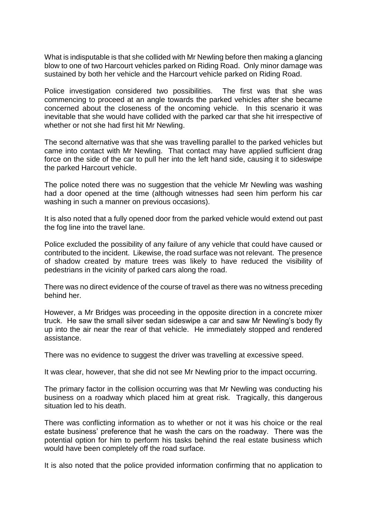What is indisputable is that she collided with Mr Newling before then making a glancing blow to one of two Harcourt vehicles parked on Riding Road. Only minor damage was sustained by both her vehicle and the Harcourt vehicle parked on Riding Road.

Police investigation considered two possibilities. The first was that she was commencing to proceed at an angle towards the parked vehicles after she became concerned about the closeness of the oncoming vehicle. In this scenario it was inevitable that she would have collided with the parked car that she hit irrespective of whether or not she had first hit Mr Newling.

The second alternative was that she was travelling parallel to the parked vehicles but came into contact with Mr Newling. That contact may have applied sufficient drag force on the side of the car to pull her into the left hand side, causing it to sideswipe the parked Harcourt vehicle.

The police noted there was no suggestion that the vehicle Mr Newling was washing had a door opened at the time (although witnesses had seen him perform his car washing in such a manner on previous occasions).

It is also noted that a fully opened door from the parked vehicle would extend out past the fog line into the travel lane.

Police excluded the possibility of any failure of any vehicle that could have caused or contributed to the incident. Likewise, the road surface was not relevant. The presence of shadow created by mature trees was likely to have reduced the visibility of pedestrians in the vicinity of parked cars along the road.

There was no direct evidence of the course of travel as there was no witness preceding behind her.

However, a Mr Bridges was proceeding in the opposite direction in a concrete mixer truck. He saw the small silver sedan sideswipe a car and saw Mr Newling's body fly up into the air near the rear of that vehicle. He immediately stopped and rendered assistance.

There was no evidence to suggest the driver was travelling at excessive speed.

It was clear, however, that she did not see Mr Newling prior to the impact occurring.

The primary factor in the collision occurring was that Mr Newling was conducting his business on a roadway which placed him at great risk. Tragically, this dangerous situation led to his death.

There was conflicting information as to whether or not it was his choice or the real estate business' preference that he wash the cars on the roadway. There was the potential option for him to perform his tasks behind the real estate business which would have been completely off the road surface.

It is also noted that the police provided information confirming that no application to